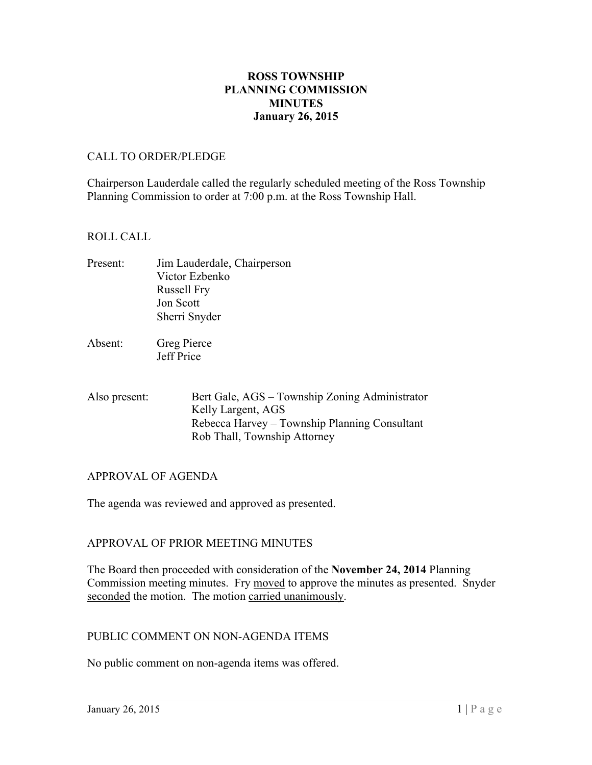## **ROSS TOWNSHIP PLANNING COMMISSION MINUTES January 26, 2015**

#### CALL TO ORDER/PLEDGE

Chairperson Lauderdale called the regularly scheduled meeting of the Ross Township Planning Commission to order at 7:00 p.m. at the Ross Township Hall.

### ROLL CALL

- Present: Jim Lauderdale, Chairperson Victor Ezbenko Russell Fry Jon Scott Sherri Snyder
- Absent: Greg Pierce Jeff Price
- Also present: Bert Gale, AGS – Township Zoning Administrator Kelly Largent, AGS Rebecca Harvey – Township Planning Consultant Rob Thall, Township Attorney

## APPROVAL OF AGENDA

The agenda was reviewed and approved as presented.

#### APPROVAL OF PRIOR MEETING MINUTES

The Board then proceeded with consideration of the **November 24, 2014** Planning Commission meeting minutes. Fry moved to approve the minutes as presented. Snyder seconded the motion. The motion carried unanimously.

#### PUBLIC COMMENT ON NON-AGENDA ITEMS

No public comment on non-agenda items was offered.<br>January 26, 2015 1 | Page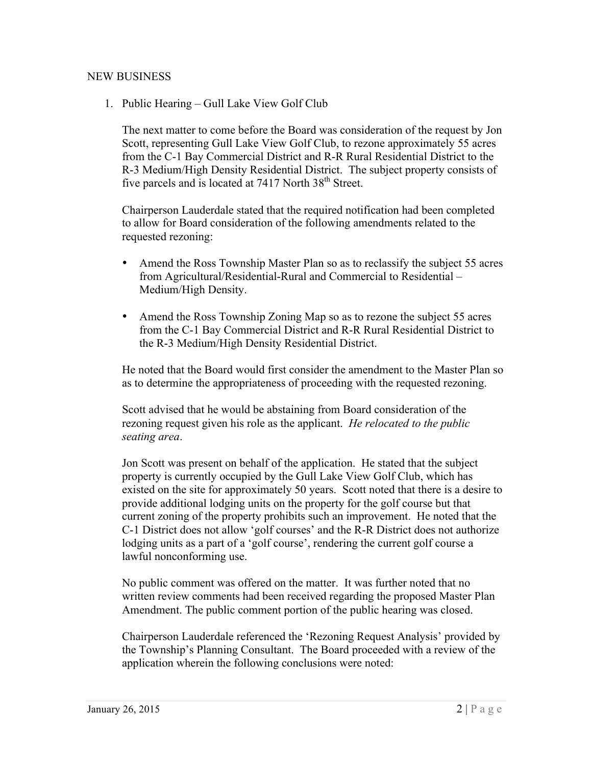### NEW BUSINESS

1. Public Hearing – Gull Lake View Golf Club

The next matter to come before the Board was consideration of the request by Jon Scott, representing Gull Lake View Golf Club, to rezone approximately 55 acres from the C-1 Bay Commercial District and R-R Rural Residential District to the R-3 Medium/High Density Residential District. The subject property consists of five parcels and is located at 7417 North 38<sup>th</sup> Street.

Chairperson Lauderdale stated that the required notification had been completed to allow for Board consideration of the following amendments related to the requested rezoning:

- from Agricultural/Residential-Rural and Commercial to Residential • Amend the Ross Township Master Plan so as to reclassify the subject 55 acres Medium/High Density.
- Amend the Ross Township Zoning Map so as to rezone the subject 55 acres from the C-1 Bay Commercial District and R-R Rural Residential District to the R-3 Medium/High Density Residential District.

He noted that the Board would first consider the amendment to the Master Plan so as to determine the appropriateness of proceeding with the requested rezoning.

Scott advised that he would be abstaining from Board consideration of the rezoning request given his role as the applicant. *He relocated to the public seating area*.

Jon Scott was present on behalf of the application. He stated that the subject property is currently occupied by the Gull Lake View Golf Club, which has existed on the site for approximately 50 years. Scott noted that there is a desire to provide additional lodging units on the property for the golf course but that current zoning of the property prohibits such an improvement. He noted that the C-1 District does not allow 'golf courses' and the R-R District does not authorize lodging units as a part of a 'golf course', rendering the current golf course a lawful nonconforming use.

 Amendment. The public comment portion of the public hearing was closed. No public comment was offered on the matter. It was further noted that no written review comments had been received regarding the proposed Master Plan

Chairperson Lauderdale referenced the 'Rezoning Request Analysis' provided by the Township's Planning Consultant. The Board proceeded with a review of the application wherein the following conclusions were noted: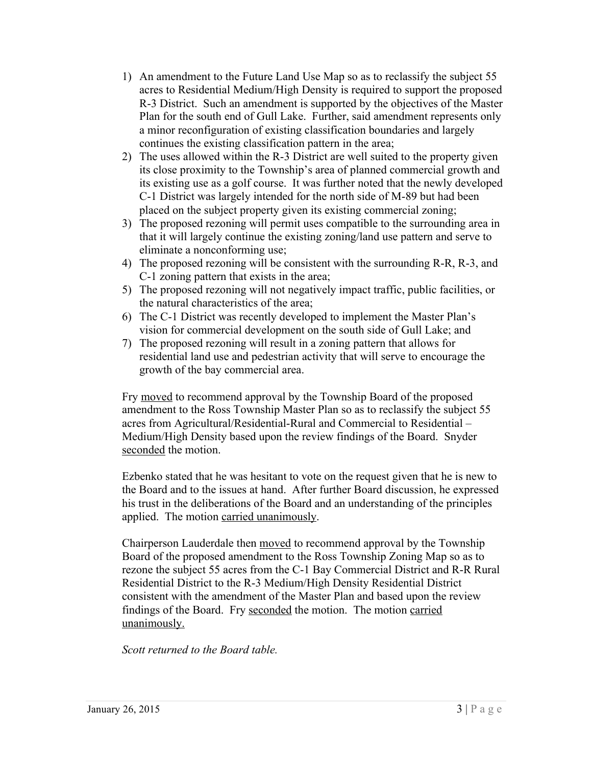- 1) An amendment to the Future Land Use Map so as to reclassify the subject 55 acres to Residential Medium/High Density is required to support the proposed R-3 District. Such an amendment is supported by the objectives of the Master Plan for the south end of Gull Lake. Further, said amendment represents only a minor reconfiguration of existing classification boundaries and largely continues the existing classification pattern in the area;
- 2) The uses allowed within the R-3 District are well suited to the property given its close proximity to the Township's area of planned commercial growth and its existing use as a golf course. It was further noted that the newly developed C-1 District was largely intended for the north side of M-89 but had been placed on the subject property given its existing commercial zoning;
- 3) The proposed rezoning will permit uses compatible to the surrounding area in that it will largely continue the existing zoning/land use pattern and serve to eliminate a nonconforming use;
- 4) The proposed rezoning will be consistent with the surrounding R-R, R-3, and C-1 zoning pattern that exists in the area;
- 5) The proposed rezoning will not negatively impact traffic, public facilities, or the natural characteristics of the area;
- 6) The C-1 District was recently developed to implement the Master Plan's vision for commercial development on the south side of Gull Lake; and
- 7) The proposed rezoning will result in a zoning pattern that allows for residential land use and pedestrian activity that will serve to encourage the growth of the bay commercial area.

 acres from Agricultural/Residential-Rural and Commercial to Residential – Fry moved to recommend approval by the Township Board of the proposed amendment to the Ross Township Master Plan so as to reclassify the subject 55 Medium/High Density based upon the review findings of the Board. Snyder seconded the motion.

Ezbenko stated that he was hesitant to vote on the request given that he is new to the Board and to the issues at hand. After further Board discussion, he expressed his trust in the deliberations of the Board and an understanding of the principles applied. The motion carried unanimously.

Chairperson Lauderdale then moved to recommend approval by the Township Board of the proposed amendment to the Ross Township Zoning Map so as to rezone the subject 55 acres from the C-1 Bay Commercial District and R-R Rural Residential District to the R-3 Medium/High Density Residential District consistent with the amendment of the Master Plan and based upon the review findings of the Board. Fry seconded the motion. The motion carried unanimously.

*Scott returned to the Board table.*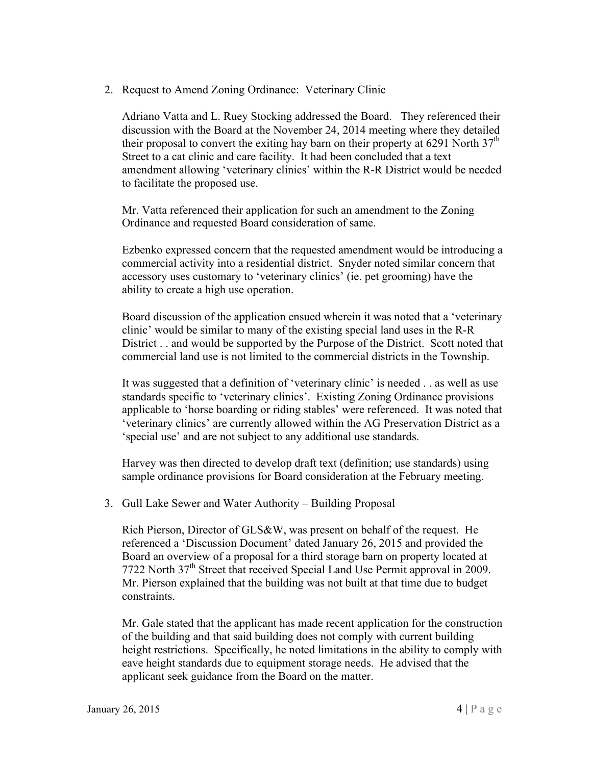2. Request to Amend Zoning Ordinance: Veterinary Clinic

Adriano Vatta and L. Ruey Stocking addressed the Board. They referenced their discussion with the Board at the November 24, 2014 meeting where they detailed their proposal to convert the exiting hay barn on their property at 6291 North  $37<sup>th</sup>$ Street to a cat clinic and care facility. It had been concluded that a text amendment allowing 'veterinary clinics' within the R-R District would be needed to facilitate the proposed use.

Mr. Vatta referenced their application for such an amendment to the Zoning Ordinance and requested Board consideration of same.

Ezbenko expressed concern that the requested amendment would be introducing a commercial activity into a residential district. Snyder noted similar concern that accessory uses customary to 'veterinary clinics' (ie. pet grooming) have the ability to create a high use operation.

Board discussion of the application ensued wherein it was noted that a 'veterinary clinic' would be similar to many of the existing special land uses in the R-R District . . and would be supported by the Purpose of the District. Scott noted that commercial land use is not limited to the commercial districts in the Township.

It was suggested that a definition of 'veterinary clinic' is needed . . as well as use standards specific to 'veterinary clinics'. Existing Zoning Ordinance provisions applicable to 'horse boarding or riding stables' were referenced. It was noted that 'veterinary clinics' are currently allowed within the AG Preservation District as a 'special use' and are not subject to any additional use standards.

Harvey was then directed to develop draft text (definition; use standards) using sample ordinance provisions for Board consideration at the February meeting.

3. Gull Lake Sewer and Water Authority – Building Proposal

 Mr. Pierson explained that the building was not built at that time due to budget Rich Pierson, Director of GLS&W, was present on behalf of the request. He referenced a 'Discussion Document' dated January 26, 2015 and provided the Board an overview of a proposal for a third storage barn on property located at 7722 North 37<sup>th</sup> Street that received Special Land Use Permit approval in 2009. constraints.

Mr. Gale stated that the applicant has made recent application for the construction of the building and that said building does not comply with current building height restrictions. Specifically, he noted limitations in the ability to comply with eave height standards due to equipment storage needs. He advised that the applicant seek guidance from the Board on the matter.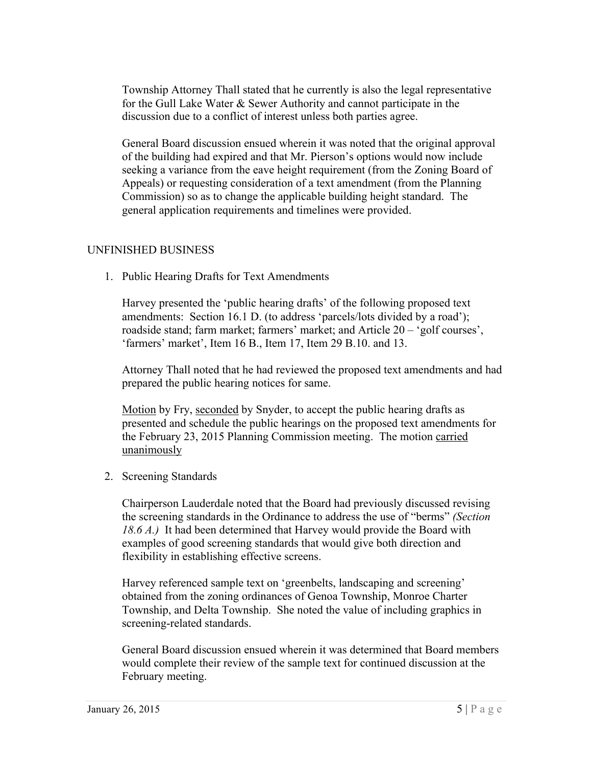Township Attorney Thall stated that he currently is also the legal representative for the Gull Lake Water & Sewer Authority and cannot participate in the discussion due to a conflict of interest unless both parties agree.

General Board discussion ensued wherein it was noted that the original approval of the building had expired and that Mr. Pierson's options would now include seeking a variance from the eave height requirement (from the Zoning Board of Appeals) or requesting consideration of a text amendment (from the Planning Commission) so as to change the applicable building height standard. The general application requirements and timelines were provided.

## UNFINISHED BUSINESS

1. Public Hearing Drafts for Text Amendments

 amendments: Section 16.1 D. (to address 'parcels/lots divided by a road'); Harvey presented the 'public hearing drafts' of the following proposed text roadside stand; farm market; farmers' market; and Article 20 – 'golf courses', 'farmers' market', Item 16 B., Item 17, Item 29 B.10. and 13.

Attorney Thall noted that he had reviewed the proposed text amendments and had prepared the public hearing notices for same.

Motion by Fry, seconded by Snyder, to accept the public hearing drafts as presented and schedule the public hearings on the proposed text amendments for the February 23, 2015 Planning Commission meeting. The motion carried unanimously

2. Screening Standards

 the screening standards in the Ordinance to address the use of "berms" *(Section*  Chairperson Lauderdale noted that the Board had previously discussed revising *18.6 A.)* It had been determined that Harvey would provide the Board with examples of good screening standards that would give both direction and flexibility in establishing effective screens.

Harvey referenced sample text on 'greenbelts, landscaping and screening' obtained from the zoning ordinances of Genoa Township, Monroe Charter Township, and Delta Township. She noted the value of including graphics in screening-related standards.

General Board discussion ensued wherein it was determined that Board members would complete their review of the sample text for continued discussion at the February meeting.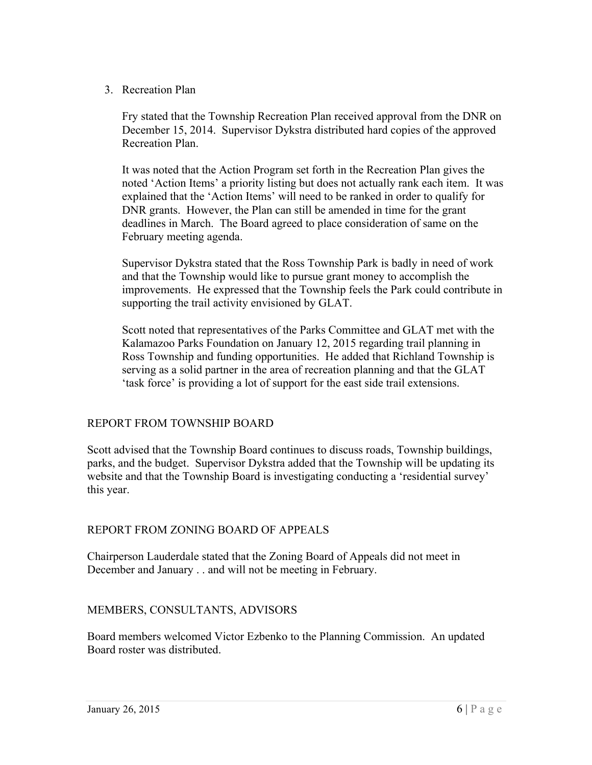3. Recreation Plan

Fry stated that the Township Recreation Plan received approval from the DNR on December 15, 2014. Supervisor Dykstra distributed hard copies of the approved Recreation Plan.

It was noted that the Action Program set forth in the Recreation Plan gives the noted 'Action Items' a priority listing but does not actually rank each item. It was explained that the 'Action Items' will need to be ranked in order to qualify for DNR grants. However, the Plan can still be amended in time for the grant deadlines in March. The Board agreed to place consideration of same on the February meeting agenda.

Supervisor Dykstra stated that the Ross Township Park is badly in need of work and that the Township would like to pursue grant money to accomplish the improvements. He expressed that the Township feels the Park could contribute in supporting the trail activity envisioned by GLAT.

Scott noted that representatives of the Parks Committee and GLAT met with the Kalamazoo Parks Foundation on January 12, 2015 regarding trail planning in Ross Township and funding opportunities. He added that Richland Township is serving as a solid partner in the area of recreation planning and that the GLAT 'task force' is providing a lot of support for the east side trail extensions.

# REPORT FROM TOWNSHIP BOARD

Scott advised that the Township Board continues to discuss roads, Township buildings, parks, and the budget. Supervisor Dykstra added that the Township will be updating its website and that the Township Board is investigating conducting a 'residential survey' this year.

# REPORT FROM ZONING BOARD OF APPEALS

Chairperson Lauderdale stated that the Zoning Board of Appeals did not meet in December and January . . and will not be meeting in February.

# MEMBERS, CONSULTANTS, ADVISORS

Board members welcomed Victor Ezbenko to the Planning Commission. An updated Board roster was distributed.